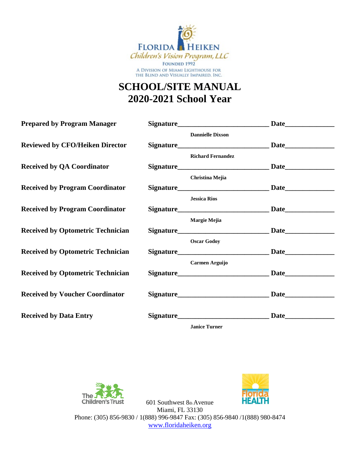

## **SCHOOL/SITE MANUAL 2020-2021 School Year**

**Prepared by Program Manager** Signature

Reviewed by CFO/Heiken Director

**Received by QA Coordinator** 

**Received by Program Coordinator Signature Signature Signature Signature Signature Signature Signature Signature Signature Signature Signature Signature Signature Signature Signature Signature Signature Signature Signature** 

**Received by Program Coordinator** 

**Received by Optometric Technician**  $\mathbb{S}$ 

**Received by Optometric Technician** 

**Received by Optometric Technician**  $\blacksquare$ 

**Received by Voucher Coordinator** 

**Received by Data Entry Signature 19. Signature** 

| <b>Signature_______________________________</b> |  |
|-------------------------------------------------|--|
| <b>Dannielle Dixson</b>                         |  |
|                                                 |  |
| <b>Richard Fernandez</b>                        |  |
|                                                 |  |
| <b>Christina Mejia</b>                          |  |
|                                                 |  |
| <b>Jessica Rios</b>                             |  |
|                                                 |  |
| Margie Mejia                                    |  |
|                                                 |  |
| <b>Oscar Godoy</b>                              |  |
|                                                 |  |
| Carmen Arguijo                                  |  |
|                                                 |  |
|                                                 |  |
|                                                 |  |
|                                                 |  |
|                                                 |  |
|                                                 |  |

**Janice Turner** 



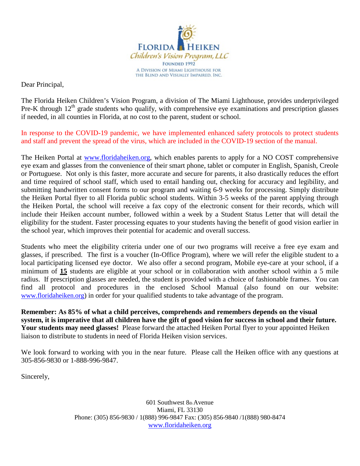

Dear Principal,

The Florida Heiken Children's Vision Program, a division of The Miami Lighthouse, provides underprivileged Pre-K through  $12<sup>th</sup>$  grade students who qualify, with comprehensive eye examinations and prescription glasses if needed, in all counties in Florida, at no cost to the parent, student or school.

In response to the COVID-19 pandemic, we have implemented enhanced safety protocols to protect students and staff and prevent the spread of the virus, which are included in the COVID-19 section of the manual.

The Heiken Portal at [www.floridaheiken.org,](http://www.floridaheiken.org/) which enables parents to apply for a NO COST comprehensive eye exam and glasses from the convenience of their smart phone, tablet or computer in English, Spanish, Creole or Portuguese. Not only is this faster, more accurate and secure for parents, it also drastically reduces the effort and time required of school staff, which used to entail handing out, checking for accuracy and legibility, and submitting handwritten consent forms to our program and waiting 6-9 weeks for processing. Simply distribute the Heiken Portal flyer to all Florida public school students. Within 3-5 weeks of the parent applying through the Heiken Portal, the school will receive a fax copy of the electronic consent for their records, which will include their Heiken account number, followed within a week by a Student Status Letter that will detail the eligibility for the student. Faster processing equates to your students having the benefit of good vision earlier in the school year, which improves their potential for academic and overall success.

Students who meet the eligibility criteria under one of our two programs will receive a free eye exam and glasses, if prescribed. The first is a voucher (In-Office Program), where we will refer the eligible student to a local participating licensed eye doctor. We also offer a second program, Mobile eye-care at your school, if a minimum of **15** students are eligible at your school or in collaboration with another school within a 5 mile radius. If prescription glasses are needed, the student is provided with a choice of fashionable frames. You can find all protocol and procedures in the enclosed School Manual (also found on our website: [www.floridaheiken.org\)](http://www.miamilighthouse.org/floridaheikenprogram.asp) in order for your qualified students to take advantage of the program.

**Remember: As 85% of what a child perceives, comprehends and remembers depends on the visual system, it is imperative that all children have the gift of good vision for success in school and their future. Your students may need glasses!** Please forward the attached Heiken Portal flyer to your appointed Heiken liaison to distribute to students in need of Florida Heiken vision services.

We look forward to working with you in the near future. Please call the Heiken office with any questions at 305-856-9830 or 1-888-996-9847.

Sincerely,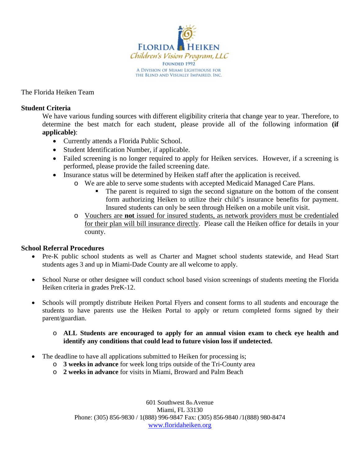

The Florida Heiken Team

#### **Student Criteria**

We have various funding sources with different eligibility criteria that change year to year. Therefore, to determine the best match for each student, please provide all of the following information **(if applicable)**:

- Currently attends a Florida Public School.
- Student Identification Number, if applicable.
- Failed screening is no longer required to apply for Heiken services. However, if a screening is performed, please provide the failed screening date.
- Insurance status will be determined by Heiken staff after the application is received.
	- o We are able to serve some students with accepted Medicaid Managed Care Plans.
		- The parent is required to sign the second signature on the bottom of the consent form authorizing Heiken to utilize their child's insurance benefits for payment. Insured students can only be seen through Heiken on a mobile unit visit.
	- o Vouchers are **not** issued for insured students, as network providers must be credentialed for their plan will bill insurance directly. Please call the Heiken office for details in your county.

#### **School Referral Procedures**

- Pre-K public school students as well as Charter and Magnet school students statewide, and Head Start students ages 3 and up in Miami-Dade County are all welcome to apply.
- School Nurse or other designee will conduct school based vision screenings of students meeting the Florida Heiken criteria in grades PreK-12.
- Schools will promptly distribute Heiken Portal Flyers and consent forms to all students and encourage the students to have parents use the Heiken Portal to apply or return completed forms signed by their parent/guardian.

#### o **ALL Students are encouraged to apply for an annual vision exam to check eye health and identify any conditions that could lead to future vision loss if undetected.**

- The deadline to have all applications submitted to Heiken for processing is;
	- o **3 weeks in advance** for week long trips outside of the Tri-County area
	- o **2 weeks in advance** for visits in Miami, Broward and Palm Beach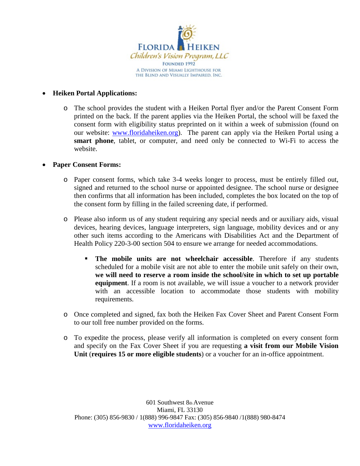

#### • **Heiken Portal Applications:**

o The school provides the student with a Heiken Portal flyer and/or the Parent Consent Form printed on the back. If the parent applies via the Heiken Portal, the school will be faxed the consent form with eligibility status preprinted on it within a week of submission (found on our website: [www.floridaheiken.org\)](http://www.floridaheiken.org/). The parent can apply via the Heiken Portal using a **smart phone**, tablet, or computer, and need only be connected to Wi-Fi to access the website.

#### • **Paper Consent Forms:**

- o Paper consent forms, which take 3-4 weeks longer to process, must be entirely filled out, signed and returned to the school nurse or appointed designee. The school nurse or designee then confirms that all information has been included, completes the box located on the top of the consent form by filling in the failed screening date, if performed.
- o Please also inform us of any student requiring any special needs and or auxiliary aids, visual devices, hearing devices, language interpreters, sign language, mobility devices and or any other such items according to the Americans with Disabilities Act and the Department of Health Policy 220-3-00 section 504 to ensure we arrange for needed accommodations.
	- **The mobile units are not wheelchair accessible**. Therefore if any students scheduled for a mobile visit are not able to enter the mobile unit safely on their own, **we will need to reserve a room inside the school/site in which to set up portable equipment**. If a room is not available, we will issue a voucher to a network provider with an accessible location to accommodate those students with mobility requirements.
- o Once completed and signed, fax both the Heiken Fax Cover Sheet and Parent Consent Form to our toll free number provided on the forms.
- o To expedite the process, please verify all information is completed on every consent form and specify on the Fax Cover Sheet if you are requesting **a visit from our Mobile Vision Unit** (**requires 15 or more eligible students**) or a voucher for an in-office appointment.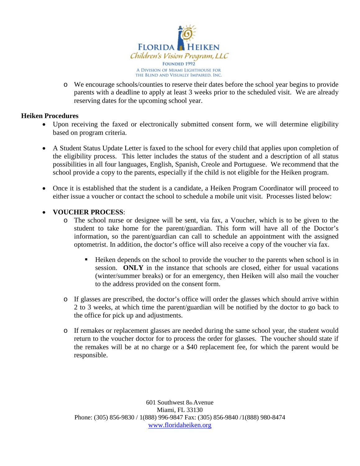

o We encourage schools/counties to reserve their dates before the school year begins to provide parents with a deadline to apply at least 3 weeks prior to the scheduled visit. We are already reserving dates for the upcoming school year.

#### **Heiken Procedures**

- Upon receiving the faxed or electronically submitted consent form, we will determine eligibility based on program criteria.
- A Student Status Update Letter is faxed to the school for every child that applies upon completion of the eligibility process. This letter includes the status of the student and a description of all status possibilities in all four languages, English, Spanish, Creole and Portuguese. We recommend that the school provide a copy to the parents, especially if the child is not eligible for the Heiken program.
- Once it is established that the student is a candidate, a Heiken Program Coordinator will proceed to either issue a voucher or contact the school to schedule a mobile unit visit. Processes listed below:

#### • **VOUCHER PROCESS**:

- o The school nurse or designee will be sent, via fax, a Voucher, which is to be given to the student to take home for the parent/guardian. This form will have all of the Doctor's information, so the parent/guardian can call to schedule an appointment with the assigned optometrist. In addition, the doctor's office will also receive a copy of the voucher via fax.
	- Heiken depends on the school to provide the voucher to the parents when school is in session. **ONLY** in the instance that schools are closed, either for usual vacations (winter/summer breaks) or for an emergency, then Heiken will also mail the voucher to the address provided on the consent form.
- o If glasses are prescribed, the doctor's office will order the glasses which should arrive within 2 to 3 weeks, at which time the parent/guardian will be notified by the doctor to go back to the office for pick up and adjustments.
- o If remakes or replacement glasses are needed during the same school year, the student would return to the voucher doctor for to process the order for glasses. The voucher should state if the remakes will be at no charge or a \$40 replacement fee, for which the parent would be responsible.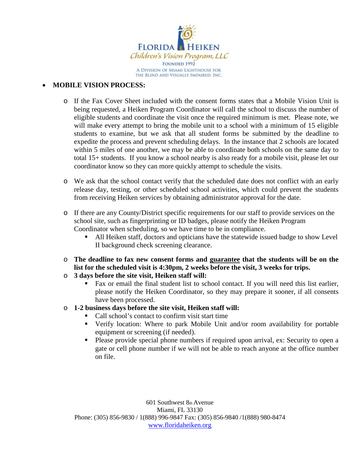

#### • **MOBILE VISION PROCESS:**

- o If the Fax Cover Sheet included with the consent forms states that a Mobile Vision Unit is being requested, a Heiken Program Coordinator will call the school to discuss the number of eligible students and coordinate the visit once the required minimum is met. Please note, we will make every attempt to bring the mobile unit to a school with a minimum of 15 eligible students to examine, but we ask that all student forms be submitted by the deadline to expedite the process and prevent scheduling delays. In the instance that 2 schools are located within 5 miles of one another, we may be able to coordinate both schools on the same day to total 15+ students. If you know a school nearby is also ready for a mobile visit, please let our coordinator know so they can more quickly attempt to schedule the visits.
- o We ask that the school contact verify that the scheduled date does not conflict with an early release day, testing, or other scheduled school activities, which could prevent the students from receiving Heiken services by obtaining administrator approval for the date.
- o If there are any County/District specific requirements for our staff to provide services on the school site, such as fingerprinting or ID badges, please notify the Heiken Program Coordinator when scheduling, so we have time to be in compliance.
	- All Heiken staff, doctors and opticians have the statewide issued badge to show Level II background check screening clearance.
- o **The deadline to fax new consent forms and guarantee that the students will be on the list for the scheduled visit is 4:30pm, 2 weeks before the visit, 3 weeks for trips.**
- o **3 days before the site visit, Heiken staff will:** 
	- Fax or email the final student list to school contact. If you will need this list earlier, please notify the Heiken Coordinator, so they may prepare it sooner, if all consents have been processed.
- o **1-2 business days before the site visit, Heiken staff will:**
	- Call school's contact to confirm visit start time
	- Verify location: Where to park Mobile Unit and/or room availability for portable equipment or screening (if needed).
	- Please provide special phone numbers if required upon arrival, ex: Security to open a gate or cell phone number if we will not be able to reach anyone at the office number on file.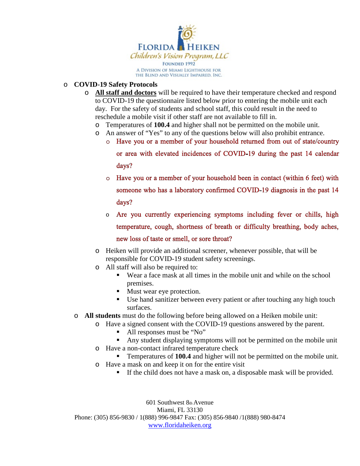

#### o **COVID-19 Safety Protocols**

- o **All staff and doctors** will be required to have their temperature checked and respond to COVID-19 the questionnaire listed below prior to entering the mobile unit each day. For the safety of students and school staff, this could result in the need to reschedule a mobile visit if other staff are not available to fill in.
	- o Temperatures of **100.4** and higher shall not be permitted on the mobile unit.
	-
	- o An answer of "Yes" to any of the questions below will also prohibit entrance.<br>
	o Have you or a member of your household returned from out of state/country

or area with elevated incidences of COVID-19 during the past 14 calendar days?

- o Have you or a member of your household been in contact (within 6 feet) with someone who has a laboratory confirmed COVID-19 diagnosis in the past 14 days?
- $\circ$  Are you currently experiencing symptoms including fever or chills, high temperature, cough, shortness of breath or difficulty breathing, body aches, new loss of taste or smell, or sore throat?
- o Heiken will provide an additional screener, whenever possible, that will be responsible for COVID-19 student safety screenings.
- o All staff will also be required to:
	- Wear a face mask at all times in the mobile unit and while on the school premises.
	- **Must wear eye protection.**
	- Use hand sanitizer between every patient or after touching any high touch surfaces.
- o **All students** must do the following before being allowed on a Heiken mobile unit:
	- o Have a signed consent with the COVID-19 questions answered by the parent.
		- All responses must be "No"
		- Any student displaying symptoms will not be permitted on the mobile unit
		- o Have a non-contact infrared temperature check
			- Temperatures of **100.4** and higher will not be permitted on the mobile unit.
		- o Have a mask on and keep it on for the entire visit
			- If the child does not have a mask on, a disposable mask will be provided.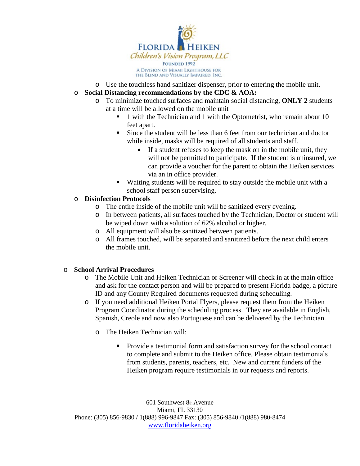

- o Use the touchless hand sanitizer dispenser, prior to entering the mobile unit.
- o **Social Distancing recommendations by the CDC & AOA:**
	- o To minimize touched surfaces and maintain social distancing, **ONLY 2** students at a time will be allowed on the mobile unit
		- 1 with the Technician and 1 with the Optometrist, who remain about 10 feet apart.
		- Since the student will be less than 6 feet from our technician and doctor while inside, masks will be required of all students and staff.
			- If a student refuses to keep the mask on in the mobile unit, they will not be permitted to participate. If the student is uninsured, we can provide a voucher for the parent to obtain the Heiken services via an in office provider.
		- Waiting students will be required to stay outside the mobile unit with a school staff person supervising.

#### o **Disinfection Protocols**

- o The entire inside of the mobile unit will be sanitized every evening.
- o In between patients, all surfaces touched by the Technician, Doctor or student will be wiped down with a solution of 62% alcohol or higher.
- o All equipment will also be sanitized between patients.
- o All frames touched, will be separated and sanitized before the next child enters the mobile unit.

# o **School Arrival Procedures**

- The Mobile Unit and Heiken Technician or Screener will check in at the main office and ask for the contact person and will be prepared to present Florida badge, a picture ID and any County Required documents requested during scheduling.
- o If you need additional Heiken Portal Flyers, please request them from the Heiken Program Coordinator during the scheduling process. They are available in English, Spanish, Creole and now also Portuguese and can be delivered by the Technician.
	- o The Heiken Technician will:
		- **Provide a testimonial form and satisfaction survey for the school contact** to complete and submit to the Heiken office. Please obtain testimonials from students, parents, teachers, etc. New and current funders of the Heiken program require testimonials in our requests and reports.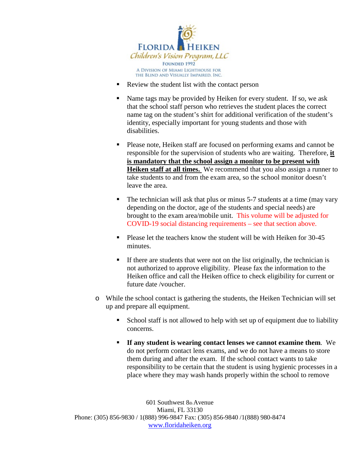

- Review the student list with the contact person
- Name tags may be provided by Heiken for every student. If so, we ask that the school staff person who retrieves the student places the correct name tag on the student's shirt for additional verification of the student's identity, especially important for young students and those with disabilities.
- Please note, Heiken staff are focused on performing exams and cannot be responsible for the supervision of students who are waiting. Therefore, **it is mandatory that the school assign a monitor to be present with Heiken staff at all times.** We recommend that you also assign a runner to take students to and from the exam area, so the school monitor doesn't leave the area.
- $\blacksquare$  The technician will ask that plus or minus 5-7 students at a time (may vary depending on the doctor, age of the students and special needs) are brought to the exam area/mobile unit. This volume will be adjusted for COVID-19 social distancing requirements – see that section above.
- Please let the teachers know the student will be with Heiken for 30-45 minutes.
- If there are students that were not on the list originally, the technician is not authorized to approve eligibility. Please fax the information to the Heiken office and call the Heiken office to check eligibility for current or future date /voucher.
- o While the school contact is gathering the students, the Heiken Technician will set up and prepare all equipment.
	- School staff is not allowed to help with set up of equipment due to liability concerns.
	- **If any student is wearing contact lenses we cannot examine them**. We do not perform contact lens exams, and we do not have a means to store them during and after the exam. If the school contact wants to take responsibility to be certain that the student is using hygienic processes in a place where they may wash hands properly within the school to remove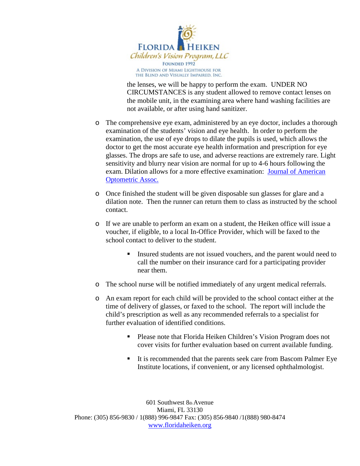

the lenses, we will be happy to perform the exam. UNDER NO CIRCUMSTANCES is any student allowed to remove contact lenses on the mobile unit, in the examining area where hand washing facilities are not available, or after using hand sanitizer.

- o The comprehensive eye exam, administered by an eye doctor, includes a thorough examination of the students' vision and eye health. In order to perform the examination, the use of eye drops to dilate the pupils is used, which allows the doctor to get the most accurate eye health information and prescription for eye glasses. The drops are safe to use, and adverse reactions are extremely rare. Light sensitivity and blurry near vision are normal for up to 4-6 hours following the exam. Dilation allows for a more effective examination: [Journal of](http://www.ncbi.nlm.nih.gov/pubmed/8888844) American [Optometric](http://www.ncbi.nlm.nih.gov/pubmed/8888844) Assoc.
- o Once finished the student will be given disposable sun glasses for glare and a dilation note. Then the runner can return them to class as instructed by the school contact.
- o If we are unable to perform an exam on a student, the Heiken office will issue a voucher, if eligible, to a local In-Office Provider, which will be faxed to the school contact to deliver to the student.
	- Insured students are not issued vouchers, and the parent would need to call the number on their insurance card for a participating provider near them.
- o The school nurse will be notified immediately of any urgent medical referrals.
- o An exam report for each child will be provided to the school contact either at the time of delivery of glasses, or faxed to the school. The report will include the child's prescription as well as any recommended referrals to a specialist for further evaluation of identified conditions.
	- **Please note that Florida Heiken Children's Vision Program does not** cover visits for further evaluation based on current available funding.
	- It is recommended that the parents seek care from Bascom Palmer Eye Institute locations, if convenient, or any licensed ophthalmologist.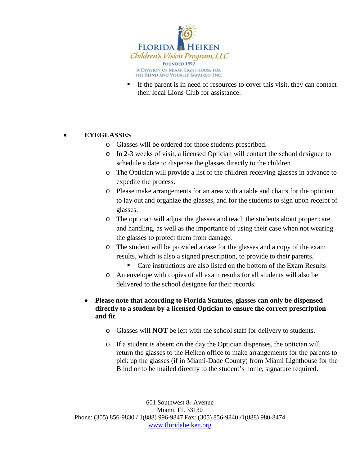

 If the parent is in need of resources to cover this visit, they can contact their local Lions Club for assistance.

#### • **EYEGLASSES**

- o Glasses will be ordered for those students prescribed.
- o In 2-3 weeks of visit, a licensed Optician will contact the school designee to schedule a date to dispense the glasses directly to the children
- o The Optician will provide a list of the children receiving glasses in advance to expedite the process.
- o Please make arrangements for an area with a table and chairs for the optician to lay out and organize the glasses, and for the students to sign upon receipt of glasses.
- o The optician will adjust the glasses and teach the students about proper care and handling, as well as the importance of using their case when not wearing the glasses to protect them from damage.
- o The student will be provided a case for the glasses and a copy of the exam results, which is also a signed prescription, to provide to their parents.
	- Care instructions are also listed on the bottom of the Exam Results
- o An envelope with copies of all exam results for all students will also be delivered to the school designee for their records.

#### • **Please note that according to Florida Statutes, glasses can only be dispensed directly to a student by a licensed Optician to ensure the correct prescription and fit**.

- o Glasses will **NOT** be left with the school staff for delivery to students.
- o If a student is absent on the day the Optician dispenses, the optician will return the glasses to the Heiken office to make arrangements for the parents to pick up the glasses (if in Miami-Dade County) from Miami Lighthouse for the Blind or to be mailed directly to the student's home, signature required.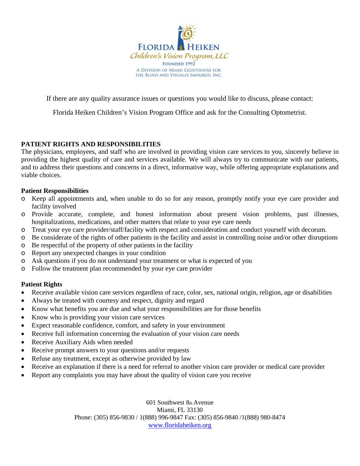

If there are any quality assurance issues or questions you would like to discuss, please contact:

Florida Heiken Children's Vision Program Office and ask for the Consulting Optometrist.

#### **PATIENT RIGHTS AND RESPONSIBILITIES**

The physicians, employees, and staff who are involved in providing vision care services to you, sincerely believe in providing the highest quality of care and services available. We will always try to communicate with our patients, and to address their questions and concerns in a direct, informative way, while offering appropriate explanations and viable choices.

#### **Patient Responsibilities**

- o Keep all appointments and, when unable to do so for any reason, promptly notify your eye care provider and facility involved
- o Provide accurate, complete, and honest information about present vision problems, past illnesses, hospitalizations, medications, and other matters that relate to your eye care needs
- o Treat your eye care provider/staff/facility with respect and consideration and conduct yourself with decorum.
- o Be considerate of the rights of other patients in the facility and assist in controlling noise and/or other disruptions
- o Be respectful of the property of other patients in the facility
- o Report any unexpected changes in your condition
- o Ask questions if you do not understand your treatment or what is expected of you
- o Follow the treatment plan recommended by your eye care provider

#### **Patient Rights**

- Receive available vision care services regardless of race, color, sex, national origin, religion, age or disabilities
- Always be treated with courtesy and respect, dignity and regard
- Know what benefits you are due and what your responsibilities are for those benefits
- Know who is providing your vision care services
- Expect reasonable confidence, comfort, and safety in your environment
- Receive full information concerning the evaluation of your vision care needs
- Receive Auxiliary Aids when needed
- Receive prompt answers to your questions and/or requests
- Refuse any treatment, except as otherwise provided by law
- Receive an explanation if there is a need for referral to another vision care provider or medical care provider
- Report any complaints you may have about the quality of vision care you receive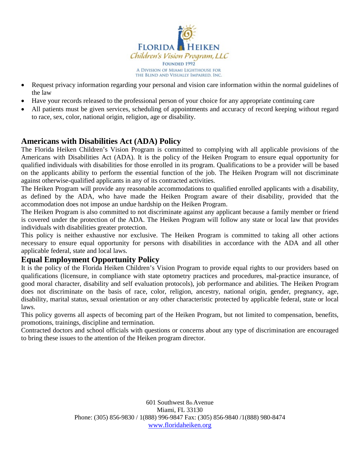

- Request privacy information regarding your personal and vision care information within the normal guidelines of the law
- Have your records released to the professional person of your choice for any appropriate continuing care
- All patients must be given services, scheduling of appointments and accuracy of record keeping without regard to race, sex, color, national origin, religion, age or disability.

#### **Americans with Disabilities Act (ADA) Policy**

The Florida Heiken Children's Vision Program is committed to complying with all applicable provisions of the Americans with Disabilities Act (ADA). It is the policy of the Heiken Program to ensure equal opportunity for qualified individuals with disabilities for those enrolled in its program. Qualifications to be a provider will be based on the applicants ability to perform the essential function of the job. The Heiken Program will not discriminate against otherwise-qualified applicants in any of its contracted activities.

The Heiken Program will provide any reasonable accommodations to qualified enrolled applicants with a disability, as defined by the ADA, who have made the Heiken Program aware of their disability, provided that the accommodation does not impose an undue hardship on the Heiken Program.

The Heiken Program is also committed to not discriminate against any applicant because a family member or friend is covered under the protection of the ADA. The Heiken Program will follow any state or local law that provides individuals with disabilities greater protection.

This policy is neither exhaustive nor exclusive. The Heiken Program is committed to taking all other actions necessary to ensure equal opportunity for persons with disabilities in accordance with the ADA and all other applicable federal, state and local laws.

#### **Equal Employment Opportunity Policy**

It is the policy of the Florida Heiken Children's Vision Program to provide equal rights to our providers based on qualifications (licensure, in compliance with state optometry practices and procedures, mal-practice insurance, of good moral character, disability and self evaluation protocols), job performance and abilities. The Heiken Program does not discriminate on the basis of race, color, religion, ancestry, national origin, gender, pregnancy, age, disability, marital status, sexual orientation or any other characteristic protected by applicable federal, state or local laws.

This policy governs all aspects of becoming part of the Heiken Program, but not limited to compensation, benefits, promotions, trainings, discipline and termination.

Contracted doctors and school officials with questions or concerns about any type of discrimination are encouraged to bring these issues to the attention of the Heiken program director.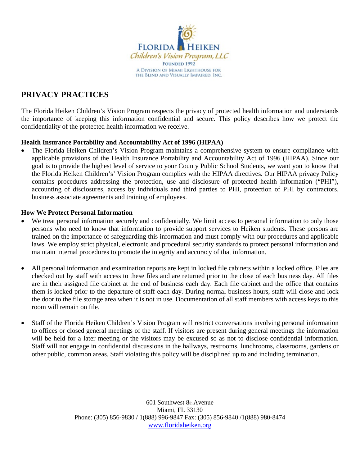

### **PRIVACY PRACTICES**

The Florida Heiken Children's Vision Program respects the privacy of protected health information and understands the importance of keeping this information confidential and secure. This policy describes how we protect the confidentiality of the protected health information we receive.

#### **Health Insurance Portability and Accountability Act of 1996 (HIPAA)**

• The Florida Heiken Children's Vision Program maintains a comprehensive system to ensure compliance with applicable provisions of the Health Insurance Portability and Accountability Act of 1996 (HIPAA). Since our goal is to provide the highest level of service to your County Public School Students, we want you to know that the Florida Heiken Children's' Vision Program complies with the HIPAA directives. Our HIPAA privacy Policy contains procedures addressing the protection, use and disclosure of protected health information ("PHI"), accounting of disclosures, access by individuals and third parties to PHI, protection of PHI by contractors, business associate agreements and training of employees.

#### **How We Protect Personal Information**

- We treat personal information securely and confidentially. We limit access to personal information to only those persons who need to know that information to provide support services to Heiken students. These persons are trained on the importance of safeguarding this information and must comply with our procedures and applicable laws. We employ strict physical, electronic and procedural security standards to protect personal information and maintain internal procedures to promote the integrity and accuracy of that information.
- All personal information and examination reports are kept in locked file cabinets within a locked office. Files are checked out by staff with access to these files and are returned prior to the close of each business day. All files are in their assigned file cabinet at the end of business each day. Each file cabinet and the office that contains them is locked prior to the departure of staff each day. During normal business hours, staff will close and lock the door to the file storage area when it is not in use. Documentation of all staff members with access keys to this room will remain on file.
- Staff of the Florida Heiken Children's Vision Program will restrict conversations involving personal information to offices or closed general meetings of the staff. If visitors are present during general meetings the information will be held for a later meeting or the visitors may be excused so as not to disclose confidential information. Staff will not engage in confidential discussions in the hallways, restrooms, lunchrooms, classrooms, gardens or other public, common areas. Staff violating this policy will be disciplined up to and including termination.